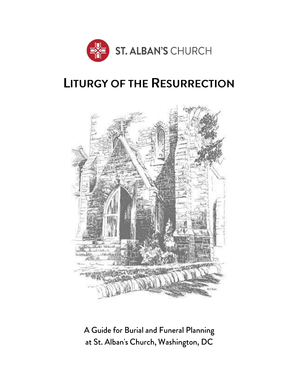

# **LITURGY OF THE RESURRECTION**



A Guide for Burial and Funeral Planning at St. Alban's Church, Washington, DC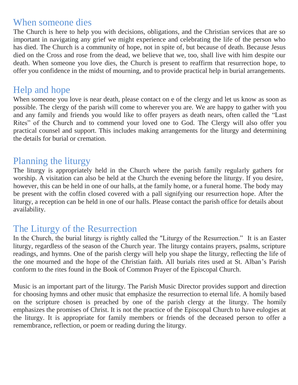## When someone dies

The Church is here to help you with decisions, obligations, and the Christian services that are so important in navigating any grief we might experience and celebrating the life of the person who has died. The Church is a community of hope, not in spite of, but because of death. Because Jesus died on the Cross and rose from the dead, we believe that we, too, shall live with him despite our death. When someone you love dies, the Church is present to reaffirm that resurrection hope, to offer you confidence in the midst of mourning, and to provide practical help in burial arrangements.

# Help and hope

When someone you love is near death, please contact on e of the clergy and let us know as soon as possible. The clergy of the parish will come to wherever you are. We are happy to gather with you and any family and friends you would like to offer prayers as death nears, often called the "Last Rites" of the Church and to commend your loved one to God. The Clergy will also offer you practical counsel and support. This includes making arrangements for the liturgy and determining the details for burial or cremation.

# Planning the liturgy

The liturgy is appropriately held in the Church where the parish family regularly gathers for worship. A visitation can also be held at the Church the evening before the liturgy. If you desire, however, this can be held in one of our halls, at the family home, or a funeral home. The body may be present with the coffin closed covered with a pall signifying our resurrection hope. After the liturgy, a reception can be held in one of our halls. Please contact the parish office for details about availability.

# The Liturgy of the Resurrection

In the Church, the burial liturgy is rightly called the "Liturgy of the Resurrection." It is an Easter liturgy, regardless of the season of the Church year. The liturgy contains prayers, psalms, scripture readings, and hymns. One of the parish clergy will help you shape the liturgy, reflecting the life of the one mourned and the hope of the Christian faith. All burials rites used at St. Alban's Parish conform to the rites found in the Book of Common Prayer of the Episcopal Church.

Music is an important part of the liturgy. The Parish Music Director provides support and direction for choosing hymns and other music that emphasize the resurrection to eternal life. A homily based on the scripture chosen is preached by one of the parish clergy at the liturgy. The homily emphasizes the promises of Christ. It is not the practice of the Episcopal Church to have eulogies at the liturgy. It is appropriate for family members or friends of the deceased person to offer a remembrance, reflection, or poem or reading during the liturgy.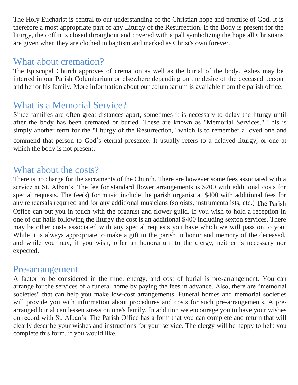The Holy Eucharist is central to our understanding of the Christian hope and promise of God. It is therefore a most appropriate part of any Liturgy of the Resurrection. If the Body is present for the liturgy, the coffin is closed throughout and covered with a pall symbolizing the hope all Christians are given when they are clothed in baptism and marked as Christ's own forever.

## What about cremation?

The Episcopal Church approves of cremation as well as the burial of the body. Ashes may be interred in our Parish Columbarium or elsewhere depending on the desire of the deceased person and her or his family. More information about our columbarium is available from the parish office.

# What is a Memorial Service?

Since families are often great distances apart, sometimes it is necessary to delay the liturgy until after the body has been cremated or buried. These are known as "Memorial Services." This is simply another term for the "Liturgy of the Resurrection," which is to remember a loved one and

commend that person to God's eternal presence. It usually refers to a delayed liturgy, or one at which the body is not present.

# What about the costs?

There is no charge for the sacraments of the Church. There are however some fees associated with a service at St. Alban's. The fee for standard flower arrangements is \$200 with additional costs for special requests. The fee(s) for music include the parish organist at \$400 with additional fees for any rehearsals required and for any additional musicians (soloists, instrumentalists, etc.) The Parish Office can put you in touch with the organist and flower guild. If you wish to hold a reception in one of our halls following the liturgy the cost is an additional \$400 including sexton services. There may be other costs associated with any special requests you have which we will pass on to you. While it is always appropriate to make a gift to the parish in honor and memory of the deceased, and while you may, if you wish, offer an honorarium to the clergy, neither is necessary nor expected.

### Pre-arrangement

A factor to be considered in the time, energy, and cost of burial is pre-arrangement. You can arrange for the services of a funeral home by paying the fees in advance. Also, there are "memorial societies" that can help you make low-cost arrangements. Funeral homes and memorial societies will provide you with information about procedures and costs for such pre-arrangements. A prearranged burial can lessen stress on one's family. In addition we encourage you to have your wishes on record with St. Alban's. The Parish Office has a form that you can complete and return that will clearly describe your wishes and instructions for your service. The clergy will be happy to help you complete this form, if you would like.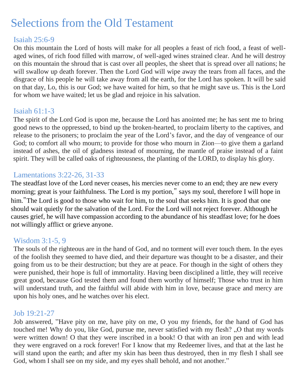# Selections from the Old Testament

#### Isaiah 25:6-9

On this mountain the Lord of hosts will make for all peoples a feast of rich food, a feast of wellaged wines, of rich food filled with marrow, of well-aged wines strained clear. And he will destroy on this mountain the shroud that is cast over all peoples, the sheet that is spread over all nations; he will swallow up death forever. Then the Lord God will wipe away the tears from all faces, and the disgrace of his people he will take away from all the earth, for the Lord has spoken. It will be said on that day, Lo, this is our God; we have waited for him, so that he might save us. This is the Lord for whom we have waited; let us be glad and rejoice in his salvation.

#### Isaiah 61:1-3

The spirit of the Lord God is upon me, because the Lord has anointed me; he has sent me to bring good news to the oppressed, to bind up the broken-hearted, to proclaim liberty to the captives, and release to the prisoners; to proclaim the year of the Lord's favor, and the day of vengeance of our God; to comfort all who mourn; to provide for those who mourn in Zion—to give them a garland instead of ashes, the oil of gladness instead of mourning, the mantle of praise instead of a faint spirit. They will be called oaks of righteousness, the planting of the LORD, to display his glory.

#### Lamentations 3:22-26, 31-33

The steadfast love of the Lord never ceases, his mercies never come to an end; they are new every morning; great is your faithfulness. The Lord is my portion," says my soul, therefore I will hope in him. The Lord is good to those who wait for him, to the soul that seeks him. It is good that one should wait quietly for the salvation of the Lord. For the Lord will not reject forever. Although he causes grief, he will have compassion according to the abundance of his steadfast love; for he does not willingly afflict or grieve anyone.

#### Wisdom 3:1-5, 9

The souls of the righteous are in the hand of God, and no torment will ever touch them. In the eyes of the foolish they seemed to have died, and their departure was thought to be a disaster, and their going from us to be their destruction; but they are at peace. For though in the sight of others they were punished, their hope is full of immortality. Having been disciplined a little, they will receive great good, because God tested them and found them worthy of himself; Those who trust in him will understand truth, and the faithful will abide with him in love, because grace and mercy are upon his holy ones, and he watches over his elect.

#### Job 19:21-27

Job answered, "Have pity on me, have pity on me, O you my friends, for the hand of God has touched me! Why do you, like God, pursue me, never satisfied with my flesh? "O that my words were written down! O that they were inscribed in a book! O that with an iron pen and with lead they were engraved on a rock forever! For I know that my Redeemer lives, and that at the last he will stand upon the earth; and after my skin has been thus destroyed, then in my flesh I shall see God, whom I shall see on my side, and my eyes shall behold, and not another."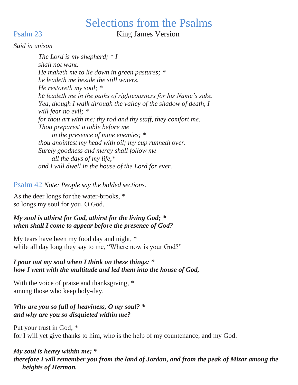# Selections from the Psalms

Psalm 23 King James Version

#### *Said in unison*

*The Lord is my shepherd; \* I shall not want. He maketh me to lie down in green pastures; \* he leadeth me beside the still waters. He restoreth my soul; \* he leadeth me in the paths of righteousness for his Name's sake. Yea, though I walk through the valley of the shadow of death, I will fear no evil; \* for thou art with me; thy rod and thy staff, they comfort me. Thou preparest a table before me in the presence of mine enemies; \* thou anointest my head with oil; my cup runneth over. Surely goodness and mercy shall follow me all the days of my life,\* and I will dwell in the house of the Lord for ever.*

#### Psalm 42 *Note: People say the bolded sections.*

As the deer longs for the water-brooks, \* so longs my soul for you, O God.

#### *My soul is athirst for God, athirst for the living God; \* when shall I come to appear before the presence of God?*

My tears have been my food day and night,  $*$ while all day long they say to me, "Where now is your God?"

#### *I pour out my soul when I think on these things: \* how I went with the multitude and led them into the house of God,*

With the voice of praise and thanksgiving,  $*$ among those who keep holy-day.

#### *Why are you so full of heaviness, O my soul? \* and why are you so disquieted within me?*

Put your trust in God; \* for I will yet give thanks to him, who is the help of my countenance, and my God.

#### *My soul is heavy within me; \* therefore I will remember you from the land of Jordan, and from the peak of Mizar among the heights of Hermon.*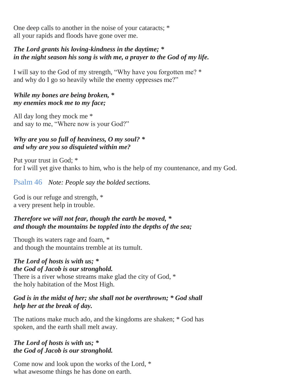One deep calls to another in the noise of your cataracts; \* all your rapids and floods have gone over me.

#### *The Lord grants his loving-kindness in the daytime; \* in the night season his song is with me, a prayer to the God of my life.*

I will say to the God of my strength, "Why have you forgotten me? \* and why do I go so heavily while the enemy oppresses me?"

#### *While my bones are being broken, \* my enemies mock me to my face;*

All day long they mock me \* and say to me, "Where now is your God?"

#### *Why are you so full of heaviness, O my soul? \* and why are you so disquieted within me?*

Put your trust in God; \* for I will yet give thanks to him, who is the help of my countenance, and my God.

#### Psalm 46 *Note: People say the bolded sections.*

God is our refuge and strength, \* a very present help in trouble.

#### *Therefore we will not fear, though the earth be moved, \* and though the mountains be toppled into the depths of the sea;*

Though its waters rage and foam, \* and though the mountains tremble at its tumult.

#### *The Lord of hosts is with us; \* the God of Jacob is our stronghold.*

There is a river whose streams make glad the city of God, \* the holy habitation of the Most High.

#### *God is in the midst of her; she shall not be overthrown; \* God shall help her at the break of day.*

The nations make much ado, and the kingdoms are shaken; \* God has spoken, and the earth shall melt away.

#### *The Lord of hosts is with us; \* the God of Jacob is our stronghold.*

Come now and look upon the works of the Lord, \* what awesome things he has done on earth.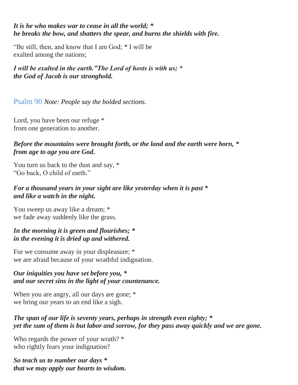*It is he who makes war to cease in all the world; \* he breaks the bow, and shatters the spear, and burns the shields with fire.*

"Be still, then, and know that I am God; \* I will be exalted among the nations;

*I will be exalted in the earth."The Lord of hosts is with us; \* the God of Jacob is our stronghold.*

Psalm 90 *Note: People say the bolded sections.*

Lord, you have been our refuge  $*$ from one generation to another.

*Before the mountains were brought forth, or the land and the earth were born, \* from age to age you are God.*

You turn us back to the dust and say, \* "Go back, O child of earth."

#### *For a thousand years in your sight are like yesterday when it is past \* and like a watch in the night.*

You sweep us away like a dream; \* we fade away suddenly like the grass.

#### *In the morning it is green and flourishes; \* in the evening it is dried up and withered.*

For we consume away in your displeasure; \* we are afraid because of your wrathful indignation.

#### *Our iniquities you have set before you, \* and our secret sins in the light of your countenance.*

When you are angry, all our days are gone;  $*$ we bring our years to an end like a sigh.

#### *The span of our life is seventy years, perhaps in strength even eighty; \* yet the sum of them is but labor and sorrow, for they pass away quickly and we are gone.*

Who regards the power of your wrath? \* who rightly fears your indignation?

*So teach us to number our days \* that we may apply our hearts to wisdom.*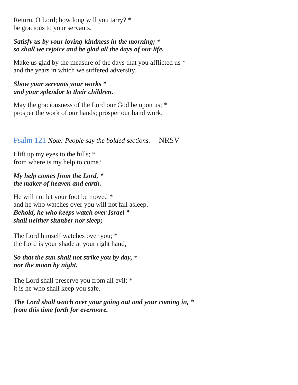Return, O Lord; how long will you tarry? \* be gracious to your servants.

#### *Satisfy us by your loving-kindness in the morning; \* so shall we rejoice and be glad all the days of our life.*

Make us glad by the measure of the days that you afflicted us  $*$ and the years in which we suffered adversity.

#### *Show your servants your works \* and your splendor to their children.*

May the graciousness of the Lord our God be upon us;  $*$ prosper the work of our hands; prosper our handiwork.

Psalm 121 *Note: People say the bolded sections.* NRSV

I lift up my eyes to the hills; \* from where is my help to come?

#### *My help comes from the Lord, \* the maker of heaven and earth.*

He will not let your foot be moved \* and he who watches over you will not fall asleep. *Behold, he who keeps watch over Israel \* shall neither slumber nor sleep;*

The Lord himself watches over you; \* the Lord is your shade at your right hand,

#### *So that the sun shall not strike you by day, \* nor the moon by night.*

The Lord shall preserve you from all evil; \* it is he who shall keep you safe.

*The Lord shall watch over your going out and your coming in, \* from this time forth for evermore.*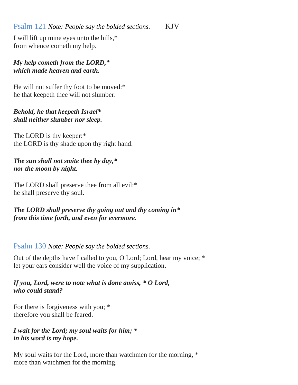#### Psalm 121 *Note: People say the bolded sections.* KJV

I will lift up mine eyes unto the hills,\* from whence cometh my help.

#### *My help cometh from the LORD,\* which made heaven and earth.*

He will not suffer thy foot to be moved:\* he that keepeth thee will not slumber.

#### *Behold, he that keepeth Israel\* shall neither slumber nor sleep.*

The LORD is thy keeper:\* the LORD is thy shade upon thy right hand.

*The sun shall not smite thee by day,\* nor the moon by night.*

The LORD shall preserve thee from all evil:\* he shall preserve thy soul.

*The LORD shall preserve thy going out and thy coming in\* from this time forth, and even for evermore.*

#### Psalm 130 *Note: People say the bolded sections.*

Out of the depths have I called to you, O Lord; Lord, hear my voice; \* let your ears consider well the voice of my supplication.

#### *If you, Lord, were to note what is done amiss, \* O Lord, who could stand?*

For there is forgiveness with you;  $*$ therefore you shall be feared.

*I wait for the Lord; my soul waits for him; \* in his word is my hope.*

My soul waits for the Lord, more than watchmen for the morning, \* more than watchmen for the morning.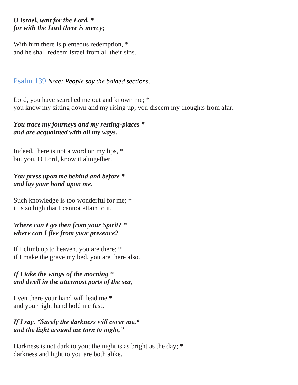#### *O Israel, wait for the Lord, \* for with the Lord there is mercy;*

With him there is plenteous redemption, \* and he shall redeem Israel from all their sins.

#### Psalm 139 *Note: People say the bolded sections.*

Lord, you have searched me out and known me;  $*$ you know my sitting down and my rising up; you discern my thoughts from afar.

#### *You trace my journeys and my resting-places \* and are acquainted with all my ways.*

Indeed, there is not a word on my lips, \* but you, O Lord, know it altogether.

#### *You press upon me behind and before \* and lay your hand upon me.*

Such knowledge is too wonderful for me; \* it is so high that I cannot attain to it.

#### *Where can I go then from your Spirit? \* where can I flee from your presence?*

If I climb up to heaven, you are there; \* if I make the grave my bed, you are there also.

#### *If I take the wings of the morning \* and dwell in the uttermost parts of the sea,*

Even there your hand will lead me \* and your right hand hold me fast.

#### *If I say, "Surely the darkness will cover me,\* and the light around me turn to night,"*

Darkness is not dark to you; the night is as bright as the day;  $*$ darkness and light to you are both alike.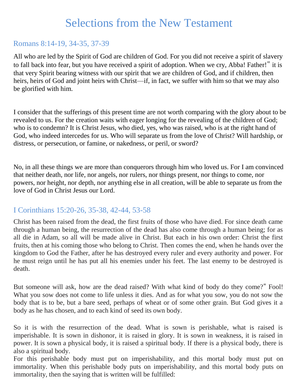# Selections from the New Testament

#### Romans 8:14-19, 34-35, 37-39

All who are led by the Spirit of God are children of God. For you did not receive a spirit of slavery to fall back into fear, but you have received a spirit of adoption. When we cry, Abba! Father!" it is that very Spirit bearing witness with our spirit that we are children of God, and if children, then heirs, heirs of God and joint heirs with Christ—if, in fact, we suffer with him so that we may also be glorified with him.

I consider that the sufferings of this present time are not worth comparing with the glory about to be revealed to us. For the creation waits with eager longing for the revealing of the children of God; who is to condemn? It is Christ Jesus, who died, yes, who was raised, who is at the right hand of God, who indeed intercedes for us. Who will separate us from the love of Christ? Will hardship, or distress, or persecution, or famine, or nakedness, or peril, or sword?

No, in all these things we are more than conquerors through him who loved us. For I am convinced that neither death, nor life, nor angels, nor rulers, nor things present, nor things to come, nor powers, nor height, nor depth, nor anything else in all creation, will be able to separate us from the love of God in Christ Jesus our Lord.

#### I Corinthians 15:20-26, 35-38, 42-44, 53-58

Christ has been raised from the dead, the first fruits of those who have died. For since death came through a human being, the resurrection of the dead has also come through a human being; for as all die in Adam, so all will be made alive in Christ. But each in his own order: Christ the first fruits, then at his coming those who belong to Christ. Then comes the end, when he hands over the kingdom to God the Father, after he has destroyed every ruler and every authority and power. For he must reign until he has put all his enemies under his feet. The last enemy to be destroyed is death.

But someone will ask, how are the dead raised? With what kind of body do they come?" Fool! What you sow does not come to life unless it dies. And as for what you sow, you do not sow the body that is to be, but a bare seed, perhaps of wheat or of some other grain. But God gives it a body as he has chosen, and to each kind of seed its own body.

So it is with the resurrection of the dead. What is sown is perishable, what is raised is imperishable. It is sown in dishonor, it is raised in glory. It is sown in weakness, it is raised in power. It is sown a physical body, it is raised a spiritual body. If there is a physical body, there is also a spiritual body.

For this perishable body must put on imperishability, and this mortal body must put on immortality. When this perishable body puts on imperishability, and this mortal body puts on immortality, then the saying that is written will be fulfilled: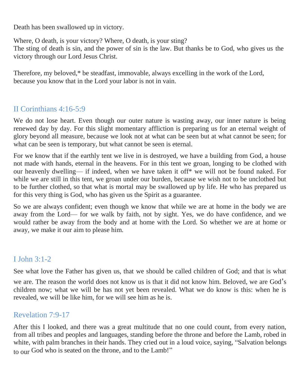Death has been swallowed up in victory.

Where, O death, is your victory? Where, O death, is your sting? The sting of death is sin, and the power of sin is the law. But thanks be to God, who gives us the victory through our Lord Jesus Christ.

Therefore, my beloved,\* be steadfast, immovable, always excelling in the work of the Lord, because you know that in the Lord your labor is not in vain.

### II Corinthians 4:16-5:9

We do not lose heart. Even though our outer nature is wasting away, our inner nature is being renewed day by day. For this slight momentary affliction is preparing us for an eternal weight of glory beyond all measure, because we look not at what can be seen but at what cannot be seen; for what can be seen is temporary, but what cannot be seen is eternal.

For we know that if the earthly tent we live in is destroyed, we have a building from God, a house not made with hands, eternal in the heavens. For in this tent we groan, longing to be clothed with our heavenly dwelling— if indeed, when we have taken it off\* we will not be found naked. For while we are still in this tent, we groan under our burden, because we wish not to be unclothed but to be further clothed, so that what is mortal may be swallowed up by life. He who has prepared us for this very thing is God, who has given us the Spirit as a guarantee.

So we are always confident; even though we know that while we are at home in the body we are away from the Lord— for we walk by faith, not by sight. Yes, we do have confidence, and we would rather be away from the body and at home with the Lord. So whether we are at home or away, we make it our aim to please him.

### I John 3:1-2

See what love the Father has given us, that we should be called children of God; and that is what we are. The reason the world does not know us is that it did not know him. Beloved, we are God's children now; what we will be has not yet been revealed. What we do know is this: when he is revealed, we will be like him, for we will see him as he is.

#### Revelation 7:9-17

After this I looked, and there was a great multitude that no one could count, from every nation, from all tribes and peoples and languages, standing before the throne and before the Lamb, robed in white, with palm branches in their hands. They cried out in a loud voice, saying, "Salvation belongs to our God who is seated on the throne, and to the Lamb!"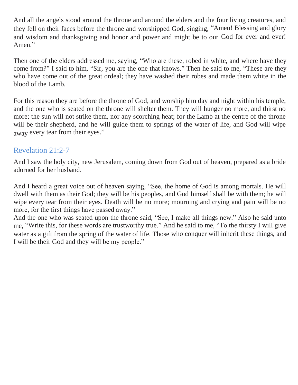And all the angels stood around the throne and around the elders and the four living creatures, and they fell on their faces before the throne and worshipped God, singing, "Amen! Blessing and glory and wisdom and thanksgiving and honor and power and might be to our God for ever and ever! Amen."

Then one of the elders addressed me, saying, "Who are these, robed in white, and where have they come from?" I said to him, "Sir, you are the one that knows." Then he said to me, "These are they who have come out of the great ordeal; they have washed their robes and made them white in the blood of the Lamb.

For this reason they are before the throne of God, and worship him day and night within his temple, and the one who is seated on the throne will shelter them. They will hunger no more, and thirst no more; the sun will not strike them, nor any scorching heat; for the Lamb at the centre of the throne will be their shepherd, and he will guide them to springs of the water of life, and God will wipe away every tear from their eyes."

#### Revelation 21:2-7

And I saw the holy city, new Jerusalem, coming down from God out of heaven, prepared as a bride adorned for her husband.

And I heard a great voice out of heaven saying, "See, the home of God is among mortals. He will dwell with them as their God; they will be his peoples, and God himself shall be with them; he will wipe every tear from their eyes. Death will be no more; mourning and crying and pain will be no more, for the first things have passed away."

And the one who was seated upon the throne said, "See, I make all things new." Also he said unto me, "Write this, for these words are trustworthy true." And he said to me, "To the thirsty I will give water as a gift from the spring of the water of life. Those who conquer will inherit these things, and I will be their God and they will be my people."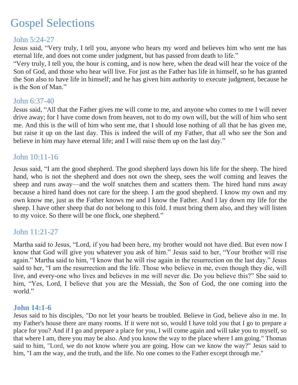# Gospel Selections

#### John 5:24-27

Jesus said, "Very truly, I tell you, anyone who hears my word and believes him who sent me has eternal life, and does not come under judgment, but has passed from death to life."

"Very truly, I tell you, the hour is coming, and is now here, when the dead will hear the voice of the Son of God, and those who hear will live. For just as the Father has life in himself, so he has granted the Son also to have life in himself; and he has given him authority to execute judgment, because he is the Son of Man."

#### John 6:37-40

Jesus said, "All that the Father gives me will come to me, and anyone who comes to me I will never drive away; for I have come down from heaven, not to do my own will, but the will of him who sent me. And this is the will of him who sent me, that I should lose nothing of all that he has given me, but raise it up on the last day. This is indeed the will of my Father, that all who see the Son and believe in him may have eternal life; and I will raise them up on the last day."

#### John 10:11-16

Jesus said, "I am the good shepherd. The good shepherd lays down his life for the sheep. The hired hand, who is not the shepherd and does not own the sheep, sees the wolf coming and leaves the sheep and runs away—and the wolf snatches them and scatters them. The hired hand runs away because a hired hand does not care for the sheep. I am the good shepherd. I know my own and my own know me, just as the Father knows me and I know the Father. And I lay down my life for the sheep. I have other sheep that do not belong to this fold. I must bring them also, and they will listen to my voice. So there will be one flock, one shepherd."

#### John 11:21-27

Martha said to Jesus, "Lord, if you had been here, my brother would not have died. But even now I know that God will give you whatever you ask of him." Jesus said to her, "Your brother will rise again." Martha said to him, "I know that he will rise again in the resurrection on the last day." Jesus said to her, "I am the resurrection and the life. Those who believe in me, even though they die, will live, and every-one who lives and believes in me will never die. Do you believe this?" She said to him, "Yes, Lord, I believe that you are the Messiah, the Son of God, the one coming into the world."

#### **John 14:1-6**

Jesus said to his disciples, "Do not let your hearts be troubled. Believe in God, believe also in me. In my Father's house there are many rooms. If it were not so, would I have told you that I go to prepare a place for you? And if I go and prepare a place for you, I will come again and will take you to myself, so that where I am, there you may be also. And you know the way to the place where I am going." Thomas said to him, "Lord, we do not know where you are going. How can we know the way?" Jesus said to him, "I am the way, and the truth, and the life. No one comes to the Father except through me."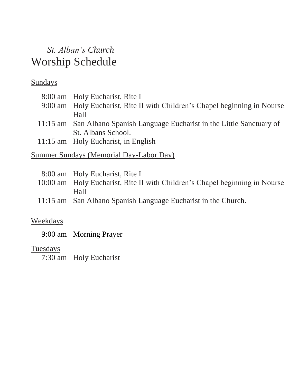# *St. Alban's Church* Worship Schedule

# **Sundays**

| 8:00 am Holy Eucharist, Rite I                                             |
|----------------------------------------------------------------------------|
| 9:00 am Holy Eucharist, Rite II with Children's Chapel beginning in Nourse |
| Hall                                                                       |
| 11:15 am San Albano Spanish Language Eucharist in the Little Sanctuary of  |
| St. Albans School.                                                         |
| 11:15 am Holy Eucharist, in English                                        |

### Summer Sundays (Memorial Day-Labor Day)

| 8:00 am Holy Eucharist, Rite I                                              |
|-----------------------------------------------------------------------------|
| 10:00 am Holy Eucharist, Rite II with Children's Chapel beginning in Nourse |
| Hall                                                                        |
| 11:15 am San Albano Spanish Language Eucharist in the Church.               |

### Weekdays

9:00 am Morning Prayer

### **Tuesdays**

7:30 am Holy Eucharist